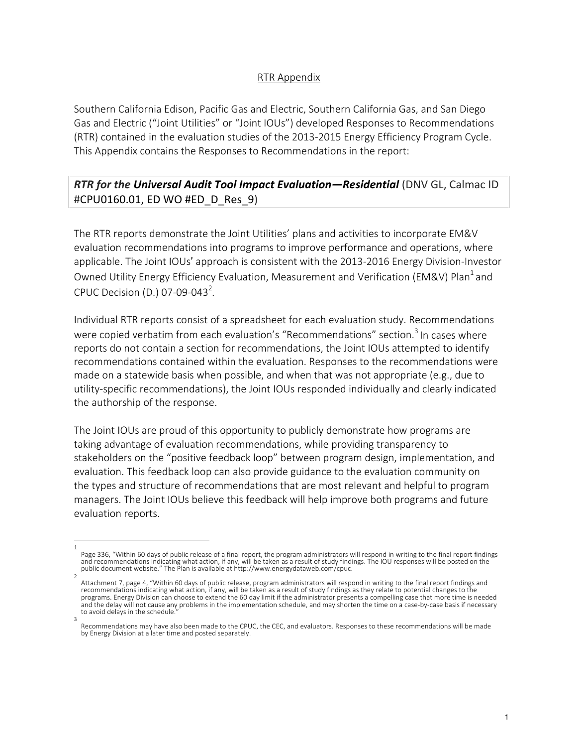## RTR Appendix

Southern California Edison, Pacific Gas and Electric, Southern California Gas, and San Diego Gas and Electric ("Joint Utilities" or "Joint IOUs") developed Responses to Recommendations (RTR) contained in the evaluation studies of the 2013-2015 Energy Efficiency Program Cycle. This Appendix contains the Responses to Recommendations in the report:

## **RTR for the Universal Audit Tool Impact Evaluation—Residential** (DNV GL, Calmac ID #CPU0160.01, ED WO #ED\_D\_Res\_9)

The RTR reports demonstrate the Joint Utilities' plans and activities to incorporate EM&V evaluation recommendations into programs to improve performance and operations, where applicable. The Joint IOUs' approach is consistent with the 2013-2016 Energy Division-Investor Owned Utility Energy Efficiency Evaluation, Measurement and Verification (EM&V) Plan<sup>1</sup> and CPUC Decision (D.) 07-09-043<sup>2</sup>.

Individual RTR reports consist of a spreadsheet for each evaluation study. Recommendations were copied verbatim from each evaluation's "Recommendations" section.<sup>3</sup> In cases where reports do not contain a section for recommendations, the Joint IOUs attempted to identify recommendations contained within the evaluation. Responses to the recommendations were made on a statewide basis when possible, and when that was not appropriate  $(e.g.,$  due to utility-specific recommendations), the Joint IOUs responded individually and clearly indicated the authorship of the response.

The Joint IOUs are proud of this opportunity to publicly demonstrate how programs are taking advantage of evaluation recommendations, while providing transparency to stakeholders on the "positive feedback loop" between program design, implementation, and evaluation. This feedback loop can also provide guidance to the evaluation community on the types and structure of recommendations that are most relevant and helpful to program managers. The Joint IOUs believe this feedback will help improve both programs and future evaluation reports.

<sup>1</sup> Page 336, "Within 60 days of public release of a final report, the program administrators will respond in writing to the final report findings and recommendations indicating what action, if any, will be taken as a result of study findings. The IOU responses will be posted on the public document website." The Plan is available at http://www.energydataweb.com/cpuc.

<sup>2</sup> Attachment 7, page 4, "Within 60 days of public release, program administrators will respond in writing to the final report findings and recommendations indicating what action, if any, will be taken as a result of study findings as they relate to potential changes to the programs. Energy Division can choose to extend the 60 day limit if the administrator presents a compelling case that more time is needed and the delay will not cause any problems in the implementation schedule, and may shorten the time on a case-by-case basis if necessary to avoid delays in the schedule. 3

Recommendations may have also been made to the CPUC, the CEC, and evaluators. Responses to these recommendations will be made by Energy Division at a later time and posted separately.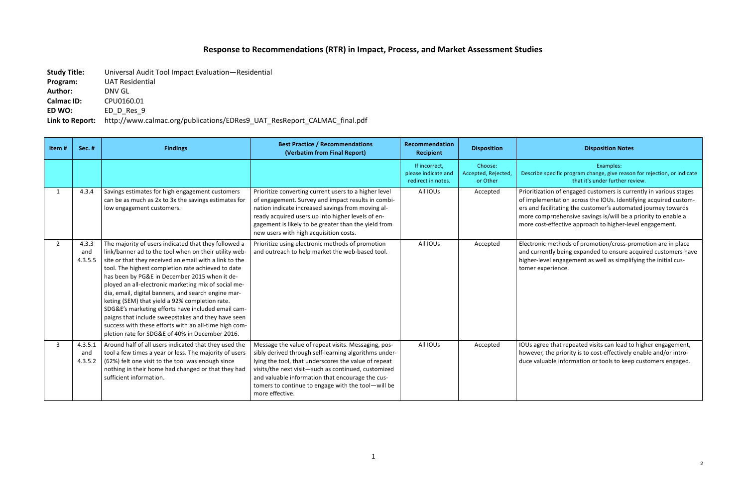## **Response to Recommendations (RTR) in Impact, Process, and Market Assessment Studies**

**Study Title:** Universal Audit Tool Impact Evaluation—Residential

**Program:** UAT Residential

Author: **DNV GL** 

## **Disposition Notes**

**Calmac ID:** CPU0160.01

**ED WO:** ED D Res 9

Link to Report: http://www.calmac.org/publications/EDRes9\_UAT\_ResReport\_CALMAC\_final.pdf

Examples: 

ecific program change, give reason for rejection, or indicate that it's under further review.

Ious Affridus Anlands on of engaged customers is currently in various stages entation across the IOUs. Identifying acquired customilitating the customer's automated journey towards  $m$ r $m$ ehensive savings is/will be a priority to enable a effective approach to higher-level engagement.

methods of promotion/cross-promotion are in place tly being expanded to ensure acquired customers have l engagement as well as simplifying the initial cuserience.

that repeated visits can lead to higher engagement, ne priority is to cost-effectively enable and/or introble information or tools to keep customers engaged.

| Item#          | <b>Sec. #</b>             | <b>Findings</b>                                                                                                                                                                                                                                                                                                                                                                                                                                                                                                                                                                                                                                                         | <b>Best Practice / Recommendations</b><br>(Verbatim from Final Report)                                                                                                                                                                                                                                                                                   | Recommendation<br><b>Recipient</b>                         | <b>Disposition</b>                         |                                                                         |
|----------------|---------------------------|-------------------------------------------------------------------------------------------------------------------------------------------------------------------------------------------------------------------------------------------------------------------------------------------------------------------------------------------------------------------------------------------------------------------------------------------------------------------------------------------------------------------------------------------------------------------------------------------------------------------------------------------------------------------------|----------------------------------------------------------------------------------------------------------------------------------------------------------------------------------------------------------------------------------------------------------------------------------------------------------------------------------------------------------|------------------------------------------------------------|--------------------------------------------|-------------------------------------------------------------------------|
|                |                           |                                                                                                                                                                                                                                                                                                                                                                                                                                                                                                                                                                                                                                                                         |                                                                                                                                                                                                                                                                                                                                                          | If incorrect,<br>please indicate and<br>redirect in notes. | Choose:<br>Accepted, Rejected,<br>or Other | Describe sp                                                             |
| $\mathbf{1}$   | 4.3.4                     | Savings estimates for high engagement customers<br>can be as much as 2x to 3x the savings estimates for<br>low engagement customers.                                                                                                                                                                                                                                                                                                                                                                                                                                                                                                                                    | Prioritize converting current users to a higher level<br>of engagement. Survey and impact results in combi-<br>nation indicate increased savings from moving al-<br>ready acquired users up into higher levels of en-<br>gagement is likely to be greater than the yield from<br>new users with high acquisition costs.                                  | All IOUs                                                   | Accepted                                   | Prioritizatio<br>of impleme<br>ers and faci<br>more comp<br>more cost-e |
| $\overline{2}$ | 4.3.3<br>and<br>4.3.5.5   | The majority of users indicated that they followed a<br>link/banner ad to the tool when on their utility web-<br>site or that they received an email with a link to the<br>tool. The highest completion rate achieved to date<br>has been by PG&E in December 2015 when it de-<br>ployed an all-electronic marketing mix of social me-<br>dia, email, digital banners, and search engine mar-<br>keting (SEM) that yield a 92% completion rate.<br>SDG&E's marketing efforts have included email cam-<br>paigns that include sweepstakes and they have seen<br>success with these efforts with an all-time high com-<br>pletion rate for SDG&E of 40% in December 2016. | Prioritize using electronic methods of promotion<br>and outreach to help market the web-based tool.                                                                                                                                                                                                                                                      | All IOUs                                                   | Accepted                                   | Electronic n<br>and current<br>higher-level<br>tomer expe               |
| $\overline{3}$ | 4.3.5.1<br>and<br>4.3.5.2 | Around half of all users indicated that they used the<br>tool a few times a year or less. The majority of users<br>(62%) felt one visit to the tool was enough since<br>nothing in their home had changed or that they had<br>sufficient information.                                                                                                                                                                                                                                                                                                                                                                                                                   | Message the value of repeat visits. Messaging, pos-<br>sibly derived through self-learning algorithms under-<br>lying the tool, that underscores the value of repeat<br>visits/the next visit-such as continued, customized<br>and valuable information that encourage the cus-<br>tomers to continue to engage with the tool-will be<br>more effective. | All IOUs                                                   | Accepted                                   | IOUs agree<br>however, th<br>duce valuab                                |